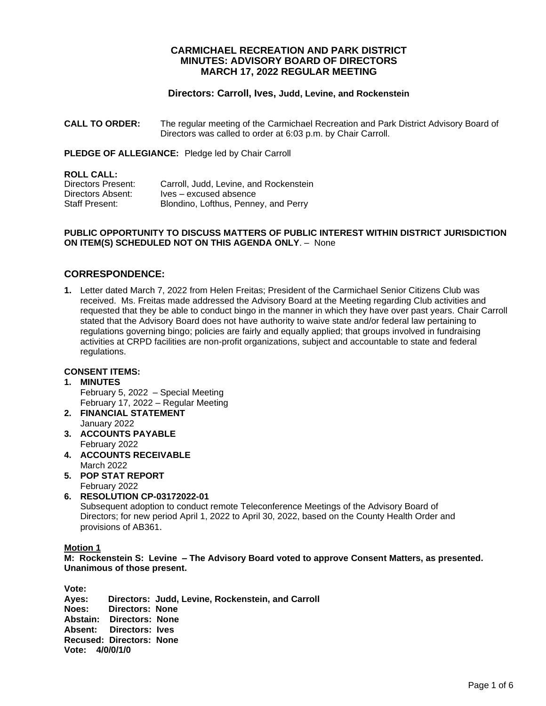# **CARMICHAEL RECREATION AND PARK DISTRICT MINUTES: ADVISORY BOARD OF DIRECTORS MARCH 17, 2022 REGULAR MEETING**

## **Directors: Carroll, Ives, Judd, Levine, and Rockenstein**

**CALL TO ORDER:** The regular meeting of the Carmichael Recreation and Park District Advisory Board of Directors was called to order at 6:03 p.m. by Chair Carroll.

**PLEDGE OF ALLEGIANCE:** Pledge led by Chair Carroll

#### **ROLL CALL:**

| Directors Present: | Carroll, Judd, Levine, and Rockenstein |
|--------------------|----------------------------------------|
| Directors Absent:  | Ives – excused absence                 |
| Staff Present:     | Blondino, Lofthus, Penney, and Perry   |

#### **PUBLIC OPPORTUNITY TO DISCUSS MATTERS OF PUBLIC INTEREST WITHIN DISTRICT JURISDICTION ON ITEM(S) SCHEDULED NOT ON THIS AGENDA ONLY**. – None

# **CORRESPONDENCE:**

**1.** Letter dated March 7, 2022 from Helen Freitas; President of the Carmichael Senior Citizens Club was received. Ms. Freitas made addressed the Advisory Board at the Meeting regarding Club activities and requested that they be able to conduct bingo in the manner in which they have over past years. Chair Carroll stated that the Advisory Board does not have authority to waive state and/or federal law pertaining to regulations governing bingo; policies are fairly and equally applied; that groups involved in fundraising activities at CRPD facilities are non-profit organizations, subject and accountable to state and federal regulations.

#### **CONSENT ITEMS:**

# **1. MINUTES**

February 5, 2022 – Special Meeting February 17, 2022 – Regular Meeting

- **2. FINANCIAL STATEMENT** January 2022
- **3. ACCOUNTS PAYABLE**  February 2022
- **4. ACCOUNTS RECEIVABLE** March 2022
- **5. POP STAT REPORT** February 2022
- **6. RESOLUTION CP-03172022-01** Subsequent adoption to conduct remote Teleconference Meetings of the Advisory Board of Directors; for new period April 1, 2022 to April 30, 2022, based on the County Health Order and provisions of AB361.

#### **Motion 1**

**M: Rockenstein S: Levine – The Advisory Board voted to approve Consent Matters, as presented. Unanimous of those present.**

**Vote: Ayes: Directors: Judd, Levine, Rockenstein, and Carroll Noes: Directors: None Abstain: Directors: None Absent: Directors: Ives Recused: Directors: None Vote: 4/0/0/1/0**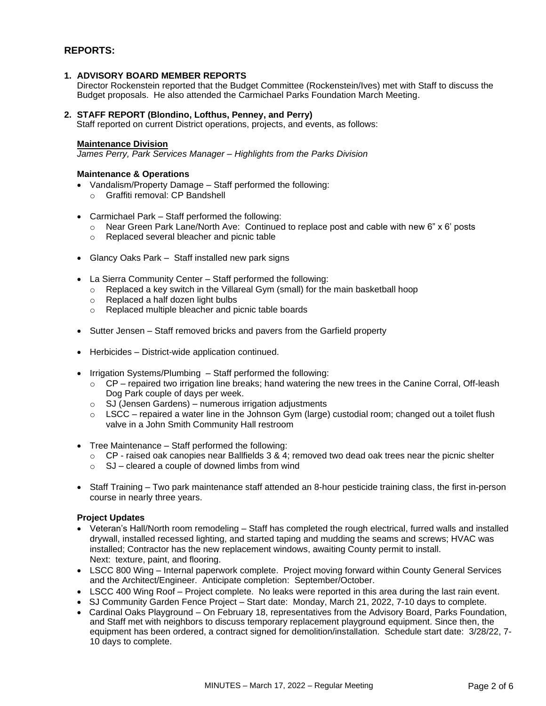# **REPORTS:**

## **1. ADVISORY BOARD MEMBER REPORTS**

Director Rockenstein reported that the Budget Committee (Rockenstein/Ives) met with Staff to discuss the Budget proposals. He also attended the Carmichael Parks Foundation March Meeting.

#### **2. STAFF REPORT (Blondino, Lofthus, Penney, and Perry)**

Staff reported on current District operations, projects, and events, as follows:

#### **Maintenance Division**

*James Perry, Park Services Manager – Highlights from the Parks Division* 

#### **Maintenance & Operations**

- Vandalism/Property Damage Staff performed the following:
	- o Graffiti removal: CP Bandshell
- Carmichael Park Staff performed the following:
	- $\circ$  Near Green Park Lane/North Ave: Continued to replace post and cable with new 6" x 6' posts
	- o Replaced several bleacher and picnic table
- Glancy Oaks Park Staff installed new park signs
- La Sierra Community Center Staff performed the following:
	- o Replaced a key switch in the Villareal Gym (small) for the main basketball hoop
	- o Replaced a half dozen light bulbs
	- o Replaced multiple bleacher and picnic table boards
- Sutter Jensen Staff removed bricks and pavers from the Garfield property
- Herbicides District-wide application continued.
- Irrigation Systems/Plumbing Staff performed the following:
	- $\circ$  CP repaired two irrigation line breaks; hand watering the new trees in the Canine Corral, Off-leash Dog Park couple of days per week.
	- $\circ$  SJ (Jensen Gardens) numerous irrigation adjustments
	- $\circ$  LSCC repaired a water line in the Johnson Gym (large) custodial room; changed out a toilet flush valve in a John Smith Community Hall restroom
- Tree Maintenance Staff performed the following:
	- o CP raised oak canopies near Ballfields 3 & 4; removed two dead oak trees near the picnic shelter
	- $\circ$  SJ cleared a couple of downed limbs from wind
- Staff Training Two park maintenance staff attended an 8-hour pesticide training class, the first in-person course in nearly three years.

#### **Project Updates**

- Veteran's Hall/North room remodeling Staff has completed the rough electrical, furred walls and installed drywall, installed recessed lighting, and started taping and mudding the seams and screws; HVAC was installed; Contractor has the new replacement windows, awaiting County permit to install. Next: texture, paint, and flooring.
- LSCC 800 Wing Internal paperwork complete. Project moving forward within County General Services and the Architect/Engineer. Anticipate completion: September/October.
- LSCC 400 Wing Roof Project complete. No leaks were reported in this area during the last rain event.
- SJ Community Garden Fence Project Start date: Monday, March 21, 2022, 7-10 days to complete.
- Cardinal Oaks Playground On February 18, representatives from the Advisory Board, Parks Foundation, and Staff met with neighbors to discuss temporary replacement playground equipment. Since then, the equipment has been ordered, a contract signed for demolition/installation. Schedule start date: 3/28/22, 7- 10 days to complete.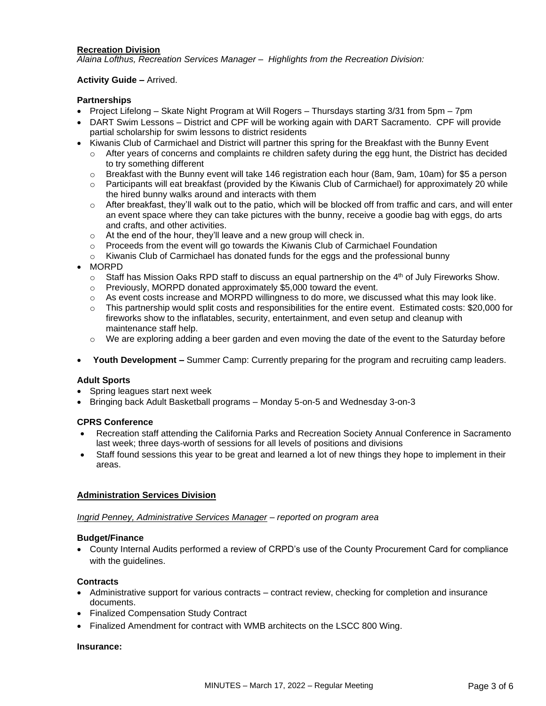## **Recreation Division**

*Alaina Lofthus, Recreation Services Manager – Highlights from the Recreation Division:*

## **Activity Guide –** Arrived.

## **Partnerships**

- Project Lifelong Skate Night Program at Will Rogers Thursdays starting 3/31 from 5pm 7pm
- DART Swim Lessons District and CPF will be working again with DART Sacramento. CPF will provide partial scholarship for swim lessons to district residents
- Kiwanis Club of Carmichael and District will partner this spring for the Breakfast with the Bunny Event
	- $\circ$  After years of concerns and complaints re children safety during the egg hunt, the District has decided to try something different
	- $\circ$  Breakfast with the Bunny event will take 146 registration each hour (8am, 9am, 10am) for \$5 a person
	- o Participants will eat breakfast (provided by the Kiwanis Club of Carmichael) for approximately 20 while the hired bunny walks around and interacts with them
	- $\circ$  After breakfast, they'll walk out to the patio, which will be blocked off from traffic and cars, and will enter an event space where they can take pictures with the bunny, receive a goodie bag with eggs, do arts and crafts, and other activities.
	- o At the end of the hour, they'll leave and a new group will check in.
	- o Proceeds from the event will go towards the Kiwanis Club of Carmichael Foundation
	- $\circ$  Kiwanis Club of Carmichael has donated funds for the eggs and the professional bunny
- MORPD
	- $\circ$  Staff has Mission Oaks RPD staff to discuss an equal partnership on the 4<sup>th</sup> of July Fireworks Show.
	- $\circ$  Previously, MORPD donated approximately \$5,000 toward the event.
	- $\circ$  As event costs increase and MORPD willingness to do more, we discussed what this may look like.
	- o This partnership would split costs and responsibilities for the entire event. Estimated costs: \$20,000 for fireworks show to the inflatables, security, entertainment, and even setup and cleanup with maintenance staff help.
	- o We are exploring adding a beer garden and even moving the date of the event to the Saturday before
- **Youth Development –** Summer Camp: Currently preparing for the program and recruiting camp leaders.

#### **Adult Sports**

- Spring leagues start next week
- Bringing back Adult Basketball programs Monday 5-on-5 and Wednesday 3-on-3

#### **CPRS Conference**

- Recreation staff attending the California Parks and Recreation Society Annual Conference in Sacramento last week; three days-worth of sessions for all levels of positions and divisions
- Staff found sessions this year to be great and learned a lot of new things they hope to implement in their areas.

#### **Administration Services Division**

*Ingrid Penney, Administrative Services Manager – reported on program area*

#### **Budget/Finance**

• County Internal Audits performed a review of CRPD's use of the County Procurement Card for compliance with the quidelines.

#### **Contracts**

- Administrative support for various contracts contract review, checking for completion and insurance documents.
- Finalized Compensation Study Contract
- Finalized Amendment for contract with WMB architects on the LSCC 800 Wing.

#### **Insurance:**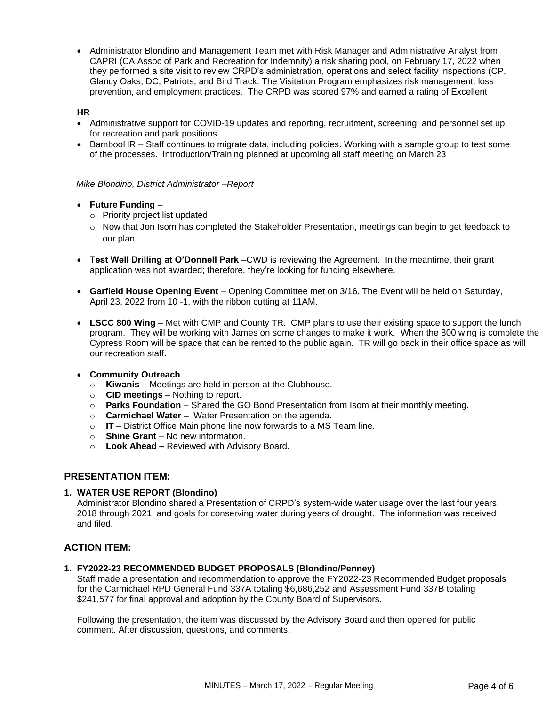• Administrator Blondino and Management Team met with Risk Manager and Administrative Analyst from CAPRI (CA Assoc of Park and Recreation for Indemnity) a risk sharing pool, on February 17, 2022 when they performed a site visit to review CRPD's administration, operations and select facility inspections (CP, Glancy Oaks, DC, Patriots, and Bird Track. The Visitation Program emphasizes risk management, loss prevention, and employment practices. The CRPD was scored 97% and earned a rating of Excellent

## **HR**

- Administrative support for COVID-19 updates and reporting, recruitment, screening, and personnel set up for recreation and park positions.
- BambooHR Staff continues to migrate data, including policies. Working with a sample group to test some of the processes. Introduction/Training planned at upcoming all staff meeting on March 23

## *Mike Blondino, District Administrator –Report*

- **Future Funding**
	- o Priority project list updated
	- $\circ$  Now that Jon Isom has completed the Stakeholder Presentation, meetings can begin to get feedback to our plan
- **Test Well Drilling at O'Donnell Park** –CWD is reviewing the Agreement. In the meantime, their grant application was not awarded; therefore, they're looking for funding elsewhere.
- **Garfield House Opening Event**  Opening Committee met on 3/16. The Event will be held on Saturday, April 23, 2022 from 10 -1, with the ribbon cutting at 11AM.
- **LSCC 800 Wing** Met with CMP and County TR. CMP plans to use their existing space to support the lunch program. They will be working with James on some changes to make it work. When the 800 wing is complete the Cypress Room will be space that can be rented to the public again. TR will go back in their office space as will our recreation staff.
- **Community Outreach**
	- o **Kiwanis** Meetings are held in-person at the Clubhouse.
	- o **CID meetings**  Nothing to report.
	- o **Parks Foundation**  Shared the GO Bond Presentation from Isom at their monthly meeting.
	- o **Carmichael Water** Water Presentation on the agenda.
	- o **IT**  District Office Main phone line now forwards to a MS Team line.
	- o **Shine Grant**  No new information.
	- o **Look Ahead –** Reviewed with Advisory Board.

# **PRESENTATION ITEM:**

#### **1. WATER USE REPORT (Blondino)**

Administrator Blondino shared a Presentation of CRPD's system-wide water usage over the last four years, 2018 through 2021, and goals for conserving water during years of drought. The information was received and filed.

# **ACTION ITEM:**

#### **1. FY2022-23 RECOMMENDED BUDGET PROPOSALS (Blondino/Penney)**

Staff made a presentation and recommendation to approve the FY2022-23 Recommended Budget proposals for the Carmichael RPD General Fund 337A totaling \$6,686,252 and Assessment Fund 337B totaling \$241,577 for final approval and adoption by the County Board of Supervisors.

Following the presentation, the item was discussed by the Advisory Board and then opened for public comment. After discussion, questions, and comments.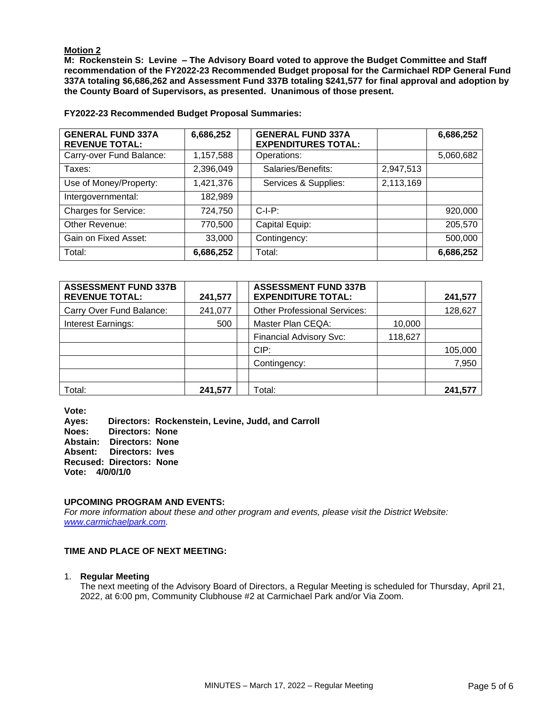## **Motion 2**

**M: Rockenstein S: Levine – The Advisory Board voted to approve the Budget Committee and Staff recommendation of the FY2022-23 Recommended Budget proposal for the Carmichael RDP General Fund 337A totaling \$6,686,262 and Assessment Fund 337B totaling \$241,577 for final approval and adoption by the County Board of Supervisors, as presented. Unanimous of those present.** 

**FY2022-23 Recommended Budget Proposal Summaries:**

| <b>GENERAL FUND 337A</b><br><b>REVENUE TOTAL:</b> | 6,686,252 | <b>GENERAL FUND 337A</b><br><b>EXPENDITURES TOTAL:</b> |           | 6,686,252 |
|---------------------------------------------------|-----------|--------------------------------------------------------|-----------|-----------|
| Carry-over Fund Balance:                          | 1,157,588 | Operations:                                            |           | 5,060,682 |
| Taxes:                                            | 2,396,049 | Salaries/Benefits:                                     | 2,947,513 |           |
| Use of Money/Property:                            | 1,421,376 | Services & Supplies:                                   | 2,113,169 |           |
| Intergovernmental:                                | 182,989   |                                                        |           |           |
| <b>Charges for Service:</b>                       | 724,750   | $C-I-P$ :                                              |           | 920,000   |
| Other Revenue:                                    | 770,500   | Capital Equip:                                         |           | 205,570   |
| Gain on Fixed Asset:                              | 33,000    | Contingency:                                           |           | 500,000   |
| Total:                                            | 6,686,252 | Total:                                                 |           | 6,686,252 |

| <b>ASSESSMENT FUND 337B</b><br><b>REVENUE TOTAL:</b> | 241,577 | <b>ASSESSMENT FUND 337B</b><br><b>EXPENDITURE TOTAL:</b> |         | 241,577 |
|------------------------------------------------------|---------|----------------------------------------------------------|---------|---------|
| Carry Over Fund Balance:                             | 241,077 | <b>Other Professional Services:</b>                      |         | 128,627 |
| Interest Earnings:                                   | 500     | Master Plan CEQA:                                        | 10,000  |         |
|                                                      |         | <b>Financial Advisory Svc:</b>                           | 118,627 |         |
|                                                      |         | CIP:                                                     |         | 105,000 |
|                                                      |         | Contingency:                                             |         | 7,950   |
|                                                      |         |                                                          |         |         |
| Total:                                               | 241,577 | Total:                                                   |         | 241.577 |

**Vote:** 

**Ayes: Directors: Rockenstein, Levine, Judd, and Carroll Directors: None Abstain: Directors: None Absent: Directors: Ives Recused: Directors: None Vote: 4/0/0/1/0**

#### **UPCOMING PROGRAM AND EVENTS:**

*For more information about these and other program and events, please visit the District Website: [www.carmichaelpark.com.](http://www.carmichaelpark.com/)*

#### **TIME AND PLACE OF NEXT MEETING:**

#### 1. **Regular Meeting**

The next meeting of the Advisory Board of Directors, a Regular Meeting is scheduled for Thursday, April 21, 2022, at 6:00 pm, Community Clubhouse #2 at Carmichael Park and/or Via Zoom.